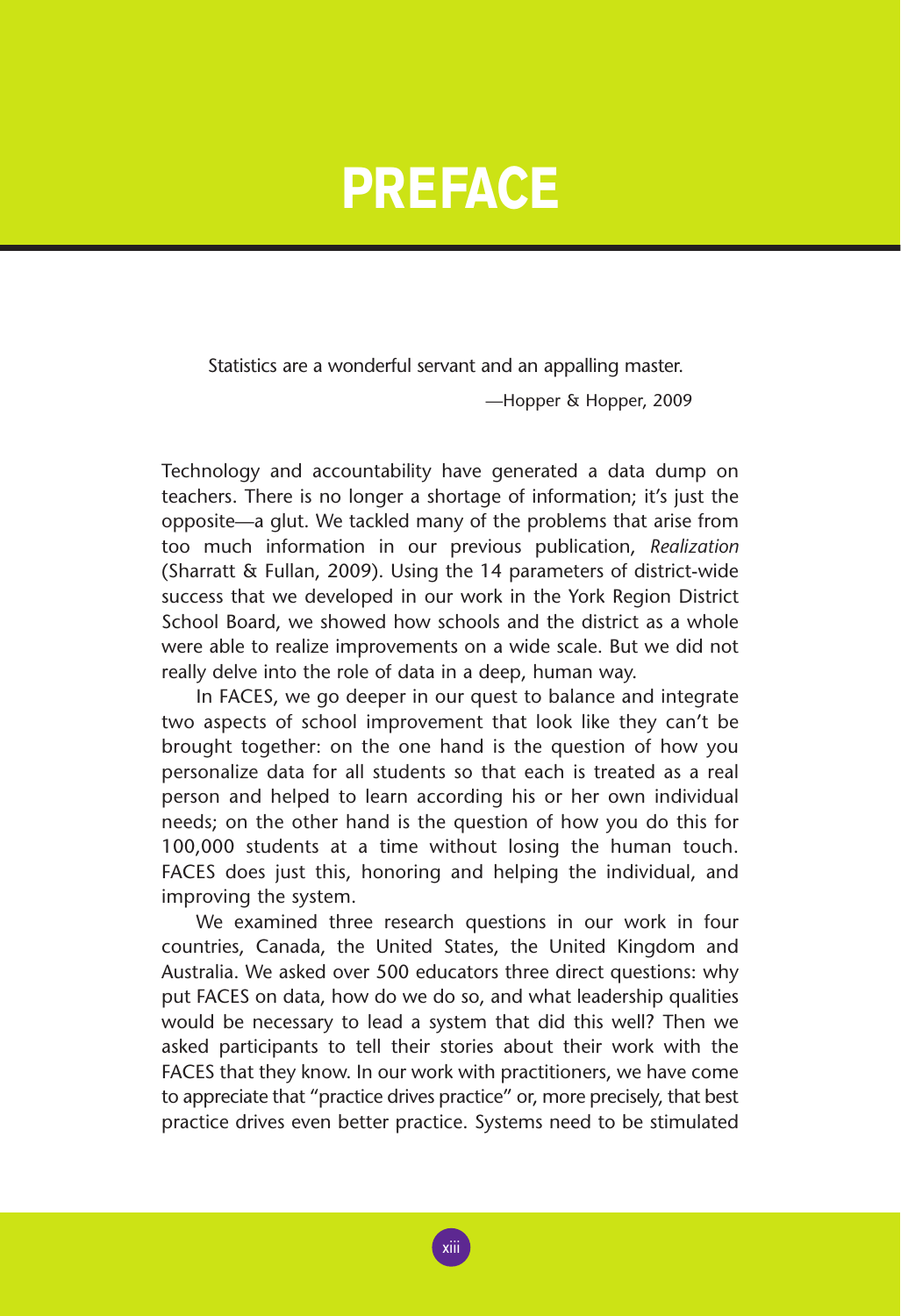## **PREFACE**

Statistics are a wonderful servant and an appalling master.

—Hopper & Hopper, 2009

Technology and accountability have generated a data dump on teachers. There is no longer a shortage of information; it's just the opposite—a glut. We tackled many of the problems that arise from too much information in our previous publication, *Realization* (Sharratt & Fullan, 2009). Using the 14 parameters of district-wide success that we developed in our work in the York Region District School Board, we showed how schools and the district as a whole were able to realize improvements on a wide scale. But we did not really delve into the role of data in a deep, human way.

In FACES, we go deeper in our quest to balance and integrate two aspects of school improvement that look like they can't be brought together: on the one hand is the question of how you personalize data for all students so that each is treated as a real person and helped to learn according his or her own individual needs; on the other hand is the question of how you do this for 100,000 students at a time without losing the human touch. FACES does just this, honoring and helping the individual, and improving the system.

We examined three research questions in our work in four countries, Canada, the United States, the United Kingdom and Australia. We asked over 500 educators three direct questions: why put FACES on data, how do we do so, and what leadership qualities would be necessary to lead a system that did this well? Then we asked participants to tell their stories about their work with the FACES that they know. In our work with practitioners, we have come to appreciate that "practice drives practice" or, more precisely, that best practice drives even better practice. Systems need to be stimulated